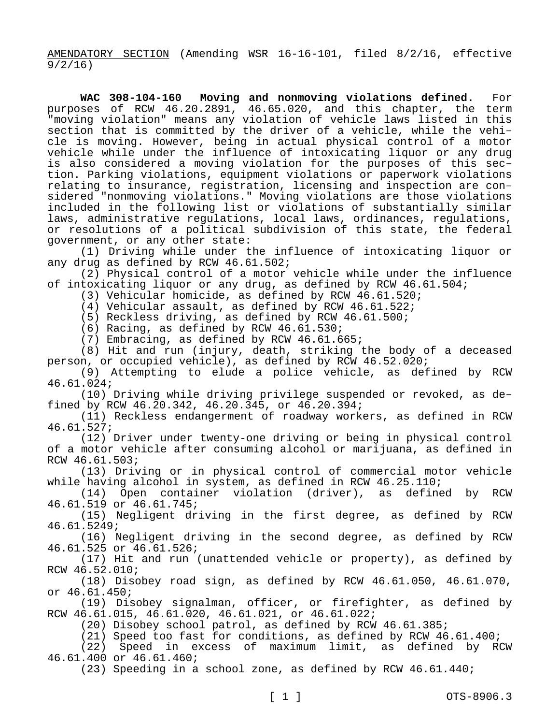AMENDATORY SECTION (Amending WSR 16-16-101, filed 8/2/16, effective 9/2/16)

**WAC 308-104-160 Moving and nonmoving violations defined.** For purposes of RCW 46.20.2891, 46.65.020, and this chapter, the term "moving violation" means any violation of vehicle laws listed in this section that is committed by the driver of a vehicle, while the vehicle is moving. However, being in actual physical control of a motor vehicle while under the influence of intoxicating liquor or any drug is also considered a moving violation for the purposes of this section. Parking violations, equipment violations or paperwork violations relating to insurance, registration, licensing and inspection are considered "nonmoving violations." Moving violations are those violations included in the following list or violations of substantially similar laws, administrative regulations, local laws, ordinances, regulations, or resolutions of a political subdivision of this state, the federal government, or any other state:

(1) Driving while under the influence of intoxicating liquor or any drug as defined by RCW 46.61.502;

(2) Physical control of a motor vehicle while under the influence of intoxicating liquor or any drug, as defined by RCW 46.61.504;

(3) Vehicular homicide, as defined by RCW 46.61.520;

(4) Vehicular assault, as defined by RCW 46.61.522;

(5) Reckless driving, as defined by RCW 46.61.500;

(6) Racing, as defined by RCW 46.61.530;

(7) Embracing, as defined by RCW 46.61.665;

(8) Hit and run (injury, death, striking the body of a deceased person, or occupied vehicle), as defined by RCW 46.52.020;

(9) Attempting to elude a police vehicle, as defined by RCW 46.61.024;

(10) Driving while driving privilege suspended or revoked, as defined by RCW 46.20.342, 46.20.345, or 46.20.394;

(11) Reckless endangerment of roadway workers, as defined in RCW 46.61.527;

(12) Driver under twenty-one driving or being in physical control of a motor vehicle after consuming alcohol or marijuana, as defined in RCW 46.61.503;

(13) Driving or in physical control of commercial motor vehicle while having alcohol in system, as defined in RCW 46.25.110;

(14) Open container violation (driver), as defined by RCW 46.61.519 or 46.61.745;

(15) Negligent driving in the first degree, as defined by RCW 46.61.5249;

(16) Negligent driving in the second degree, as defined by RCW 46.61.525 or 46.61.526;

(17) Hit and run (unattended vehicle or property), as defined by RCW 46.52.010;

(18) Disobey road sign, as defined by RCW 46.61.050, 46.61.070, or 46.61.450;

(19) Disobey signalman, officer, or firefighter, as defined by RCW 46.61.015, 46.61.020, 46.61.021, or 46.61.022;

(20) Disobey school patrol, as defined by RCW 46.61.385;

(21) Speed too fast for conditions, as defined by RCW 46.61.400;

(22) Speed in excess of maximum limit, as defined by RCW 46.61.400 or 46.61.460;

(23) Speeding in a school zone, as defined by RCW 46.61.440;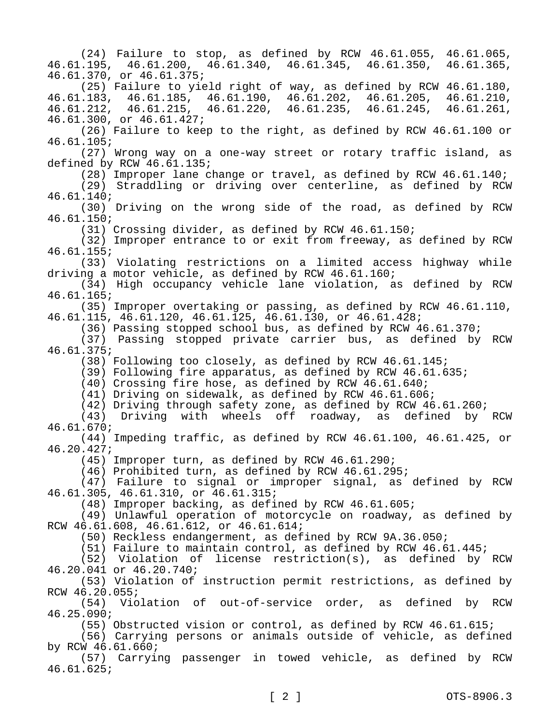(24) Failure to stop, as defined by RCW 46.61.055, 46.61.065, 46.61.195, 46.61.200, 46.61.340, 46.61.345, 46.61.350, 46.61.365, 46.61.370, or 46.61.375; (25) Failure to yield right of way, as defined by RCW 46.61.180,<br>183, 46.61.185, 46.61.190, 46.61.202, 46.61.205, 46.61.210, 46.61.183, 46.61.185, 46.61.190, 46.61.202, 46.61.205, 46.61.210, 46.61.212, 46.61.215, 46.61.220, 46.61.235, 46.61.245, 46.61.261, 46.61.300, or 46.61.427; (26) Failure to keep to the right, as defined by RCW 46.61.100 or 46.61.105; (27) Wrong way on a one-way street or rotary traffic island, as defined by RCW 46.61.135; (28) Improper lane change or travel, as defined by RCW 46.61.140; (29) Straddling or driving over centerline, as defined by RCW 46.61.140; (30) Driving on the wrong side of the road, as defined by RCW 46.61.150; (31) Crossing divider, as defined by RCW 46.61.150; (32) Improper entrance to or exit from freeway, as defined by RCW 46.61.155; (33) Violating restrictions on a limited access highway while driving a motor vehicle, as defined by RCW 46.61.160; (34) High occupancy vehicle lane violation, as defined by RCW 46.61.165; (35) Improper overtaking or passing, as defined by RCW 46.61.110, 46.61.115, 46.61.120, 46.61.125, 46.61.130, or 46.61.428; (36) Passing stopped school bus, as defined by RCW 46.61.370; (37) Passing stopped private carrier bus, as defined by RCW 46.61.375; (38) Following too closely, as defined by RCW 46.61.145; (39) Following fire apparatus, as defined by RCW 46.61.635; (40) Crossing fire hose, as defined by RCW 46.61.640; (41) Driving on sidewalk, as defined by RCW 46.61.606; (42) Driving through safety zone, as defined by RCW 46.61.260; (43) Driving with wheels off roadway, as defined by RCW 46.61.670; (44) Impeding traffic, as defined by RCW 46.61.100, 46.61.425, or 46.20.427; (45) Improper turn, as defined by RCW 46.61.290; (46) Prohibited turn, as defined by RCW 46.61.295; (47) Failure to signal or improper signal, as defined by RCW 46.61.305, 46.61.310, or 46.61.315; (48) Improper backing, as defined by RCW 46.61.605; (49) Unlawful operation of motorcycle on roadway, as defined by RCW 46.61.608, 46.61.612, or 46.61.614; (50) Reckless endangerment, as defined by RCW 9A.36.050; (51) Failure to maintain control, as defined by RCW 46.61.445; (52) Violation of license restriction(s), as defined by RCW 46.20.041 or 46.20.740; (53) Violation of instruction permit restrictions, as defined by RCW 46.20.055; (54) Violation of out-of-service order, as defined by RCW 46.25.090; (55) Obstructed vision or control, as defined by RCW 46.61.615; (56) Carrying persons or animals outside of vehicle, as defined by RCW 46.61.660; (57) Carrying passenger in towed vehicle, as defined by RCW 46.61.625;